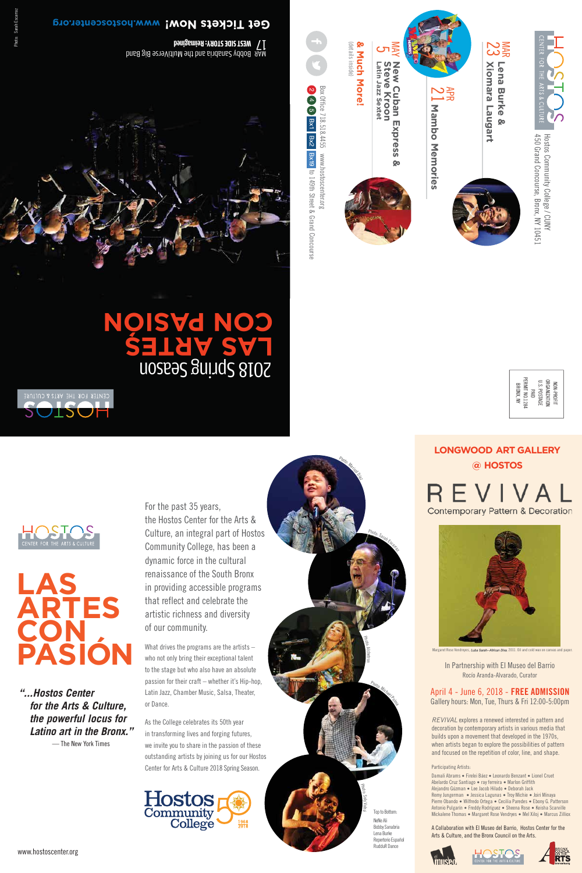For the past 35 years, the Hostos Center for the Arts & Culture, an integral part of Hostos Community College, has been a dynamic force in the cultural renaissance of the South Bronx in providing accessible programs that reflect and celebrate the artistic richness and diversity of our community.

What drives the programs are the artists – who not only bring their exceptional talent to the stage but who also have an absolute passion for their craft – whether it's Hip-hop, Latin Jazz, Chamber Music, Salsa, Theater, or Dance.

As the College celebrates its 50th year in transforming lives and forging futures, we invite you to share in the passion of these outstanding artists by joining us for our Hostos Center for Arts & Culture 2018 Spring Season.





450 Grand Concourse, Bronx, NY 10451 Hostos Community College / CUNY 450 Grand Concourse, Bronx, NY 10451 Hostos Community College / CUNY

2 4 5 Bx1 Bx2 Bx19 to 149th Street & Grand Concourse w w w.hostoscenter.org to 149th Street & Grand Concourse

www.hostoscenter.org

*"...Hostos Center for the Arts & Culture, the powerful locus for Latino art in the Bronx."*



# **ARTES CON PASIÓN**

In Partnership with El Museo del Barrio Rocío Aranda-Alvarado, Curator

**LONGWOOD ART GALLERY @ HOSTOS**







SUISUF

# April 4 - June 6, 2018 - **FREE ADMISSION** Gallery hours: Mon, Tue, Thurs & Fri 12:00-5:00pm

— The New York Times





Margaret Rose Vendreyes, *Luba Sarah--African Diva*, 2011. Oil and cold wax on canvas and pape







# **gr o.r et nec os ts .ho www ow! N ets k ic T et G**

MAR <sup>17</sup> Bobby Sanabria and the MultiVerse Big Band **WEST SIDE STORY: Reimagined** 



# n 2018 Spring Seaso **S ARTES AL OISVG NO**

*REVIVAL* explores a renewed interested in pattern and decoration by contemporary artists in various media that builds upon a movement that developed in the 1970s, when artists began to explore the possibilities of pattern and focused on the repetition of color, line, and shape.

#### Participating Artists:

Damali Abrams ● Firelei Báez ● Leonardo Benzant ● Lionel Cruet Abelardo Cruz Santiago ● ray ferreira ● Marlon Griffith Alejandro Gúzman ● Lee Jacob Hilado ● Deborah Jack Remy Jungerman ● Jessica Lagunas ● Troy Michie ● Joiri Minaya Pierre Obando ● Wilfredo Ortega ● Cecilia Paredes ● Ebony G. Patterson Antonio Pulgarín ● Freddy Rodríguez ● Sheena Rose ● Keisha Scarville Mickalene Thomas ● Margaret Rose Vendryes ● Mel Xiloj ● Marcus Zilliox

A Collaboration with El Museo del Barrio, Hostos Center for the Arts & Culture, and the Bronx Council on the Arts.